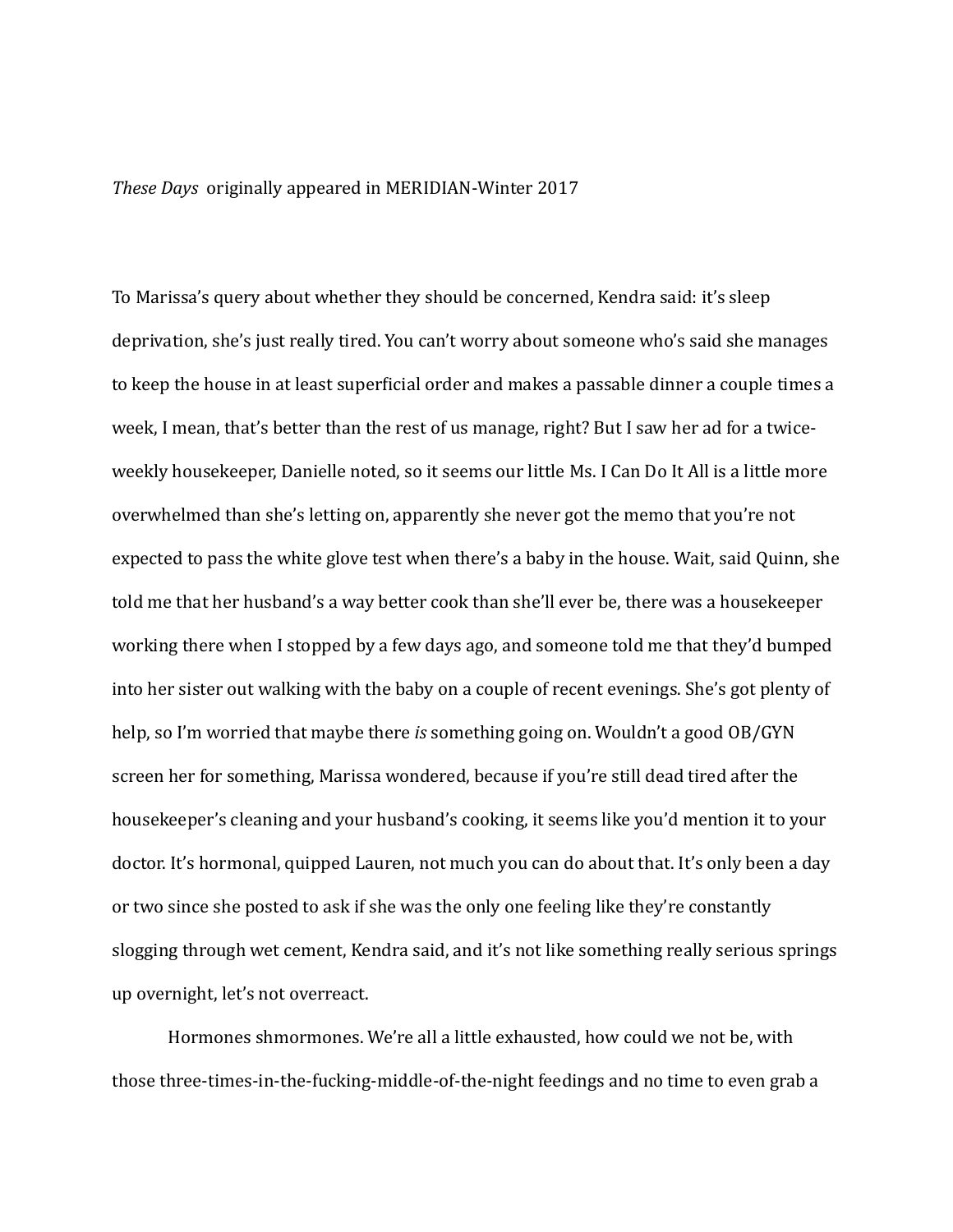## *These Days* originally appeared in MERIDIAN-Winter 2017

To Marissa's query about whether they should be concerned, Kendra said: it's sleep deprivation, she's just really tired. You can't worry about someone who's said she manages to keep the house in at least superficial order and makes a passable dinner a couple times a week, I mean, that's better than the rest of us manage, right? But I saw her ad for a twiceweekly housekeeper, Danielle noted, so it seems our little Ms. I Can Do It All is a little more overwhelmed than she's letting on, apparently she never got the memo that you're not expected to pass the white glove test when there's a baby in the house. Wait, said Quinn, she told me that her husband's a way better cook than she'll ever be, there was a housekeeper working there when I stopped by a few days ago, and someone told me that they'd bumped into her sister out walking with the baby on a couple of recent evenings. She's got plenty of help, so I'm worried that maybe there *is* something going on. Wouldn't a good OB/GYN screen her for something, Marissa wondered, because if you're still dead tired after the housekeeper's cleaning and your husband's cooking, it seems like you'd mention it to your doctor. It's hormonal, quipped Lauren, not much you can do about that. It's only been a day or two since she posted to ask if she was the only one feeling like they're constantly slogging through wet cement, Kendra said, and it's not like something really serious springs up overnight, let's not overreact.

Hormones shmormones. We're all a little exhausted, how could we not be, with those three-times-in-the-fucking-middle-of-the-night feedings and no time to even grab a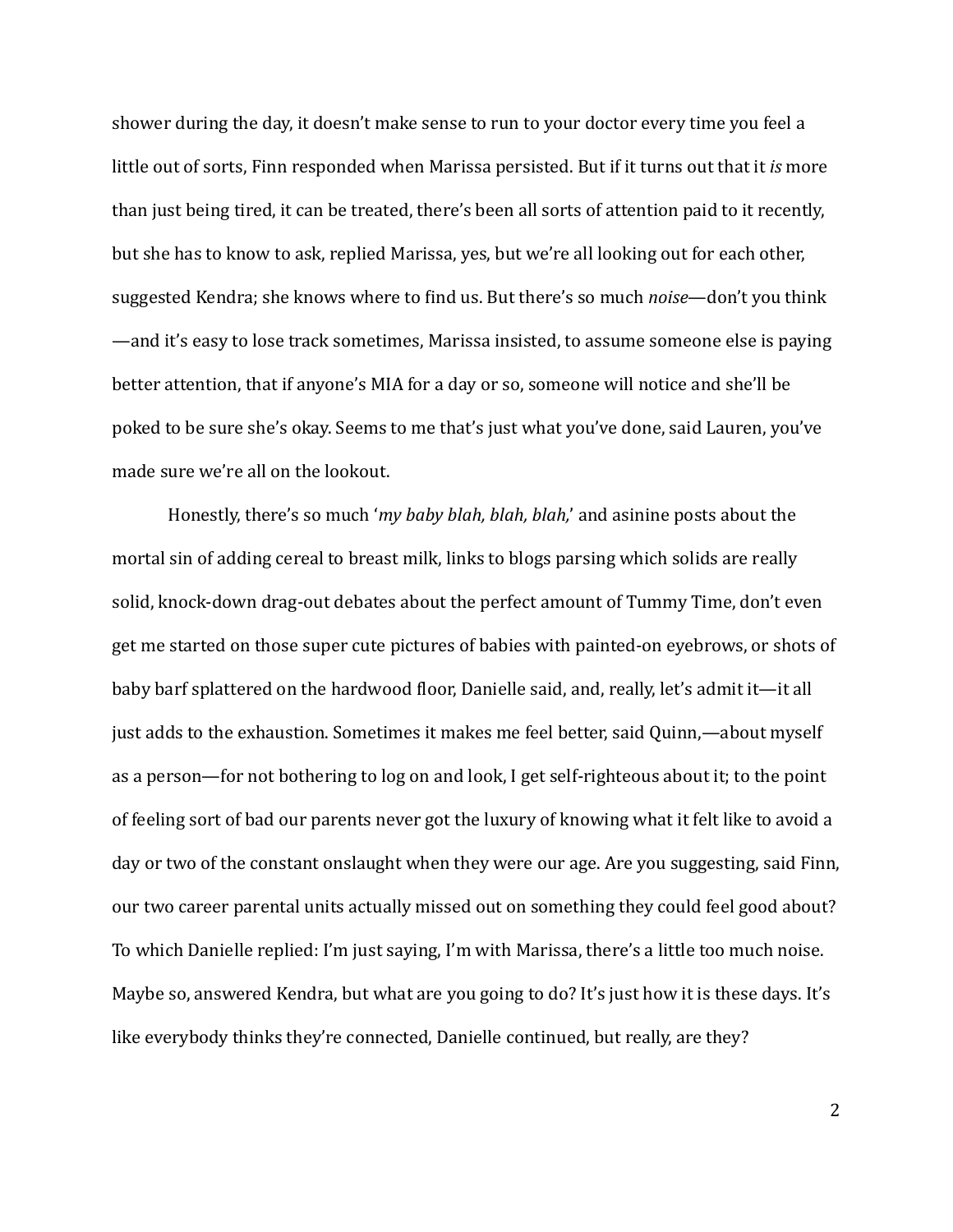shower during the day, it doesn't make sense to run to your doctor every time you feel a little out of sorts, Finn responded when Marissa persisted. But if it turns out that it *is* more than just being tired, it can be treated, there's been all sorts of attention paid to it recently, but she has to know to ask, replied Marissa, yes, but we're all looking out for each other, suggested Kendra; she knows where to find us. But there's so much *noise*—don't you think —and it's easy to lose track sometimes, Marissa insisted, to assume someone else is paying better attention, that if anyone's MIA for a day or so, someone will notice and she'll be poked to be sure she's okay. Seems to me that's just what you've done, said Lauren, you've made sure we're all on the lookout.

Honestly, there's so much '*my baby blah, blah, blah*,' and asinine posts about the mortal sin of adding cereal to breast milk, links to blogs parsing which solids are really solid, knock-down drag-out debates about the perfect amount of Tummy Time, don't even get me started on those super cute pictures of babies with painted-on eyebrows, or shots of baby barf splattered on the hardwood floor, Danielle said, and, really, let's admit it—it all just adds to the exhaustion. Sometimes it makes me feel better, said Quinn,—about myself as a person—for not bothering to log on and look, I get self-righteous about it; to the point of feeling sort of bad our parents never got the luxury of knowing what it felt like to avoid a day or two of the constant onslaught when they were our age. Are you suggesting, said Finn, our two career parental units actually missed out on something they could feel good about? To which Danielle replied: I'm just saying, I'm with Marissa, there's a little too much noise. Maybe so, answered Kendra, but what are you going to do? It's just how it is these days. It's like everybody thinks they're connected, Danielle continued, but really, are they?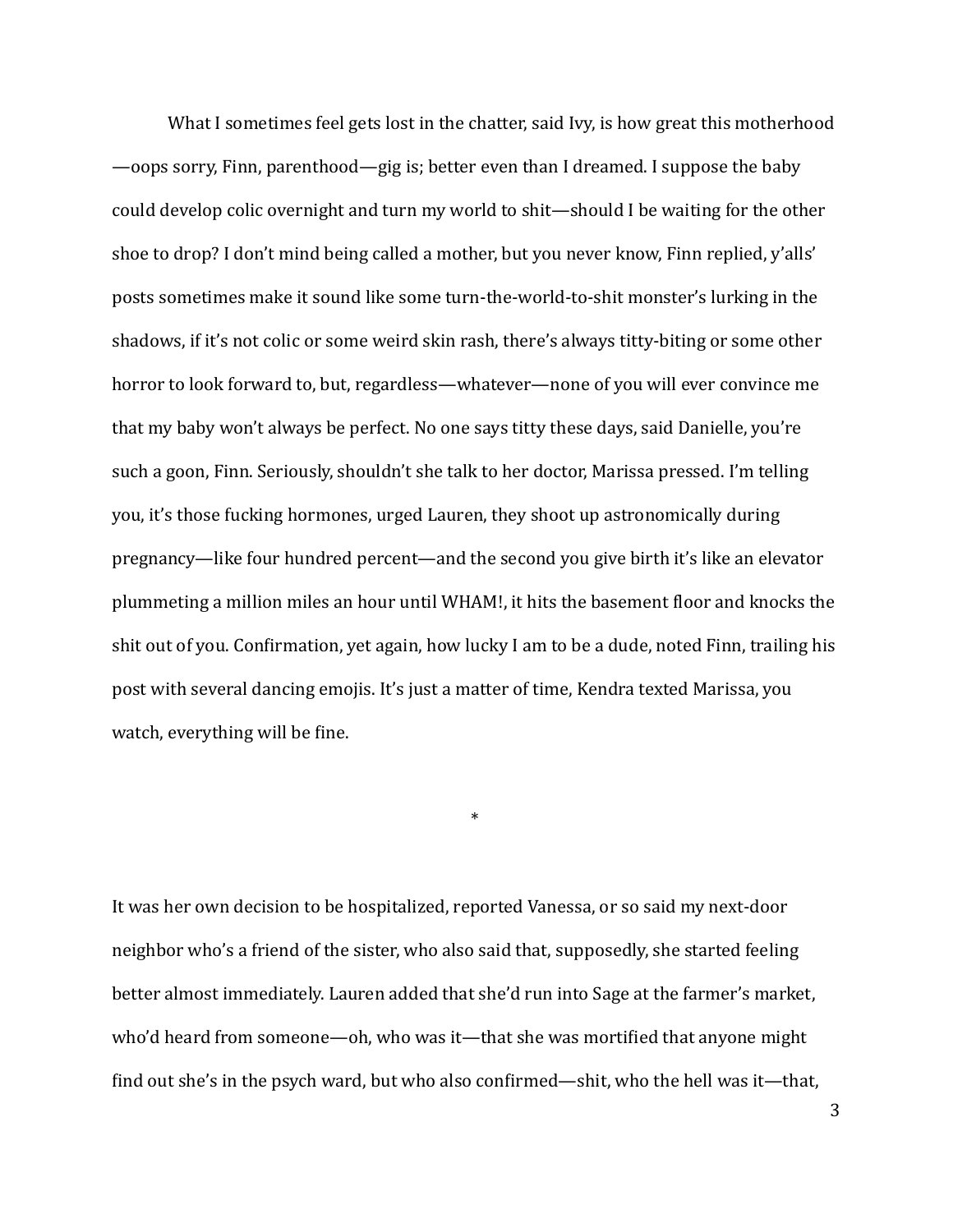What I sometimes feel gets lost in the chatter, said Ivy, is how great this motherhood —oops sorry, Finn, parenthood—gig is; better even than I dreamed. I suppose the baby could develop colic overnight and turn my world to shit—should I be waiting for the other shoe to drop? I don't mind being called a mother, but you never know, Finn replied, y'alls' posts sometimes make it sound like some turn-the-world-to-shit monster's lurking in the shadows, if it's not colic or some weird skin rash, there's always titty-biting or some other horror to look forward to, but, regardless—whatever—none of you will ever convince me that my baby won't always be perfect. No one says titty these days, said Danielle, you're such a goon, Finn. Seriously, shouldn't she talk to her doctor, Marissa pressed. I'm telling you, it's those fucking hormones, urged Lauren, they shoot up astronomically during pregnancy—like four hundred percent—and the second you give birth it's like an elevator plummeting a million miles an hour until WHAM!, it hits the basement floor and knocks the shit out of you. Confirmation, yet again, how lucky I am to be a dude, noted Finn, trailing his post with several dancing emojis. It's just a matter of time, Kendra texted Marissa, you watch, everything will be fine.

It was her own decision to be hospitalized, reported Vanessa, or so said my next-door neighbor who's a friend of the sister, who also said that, supposedly, she started feeling better almost immediately. Lauren added that she'd run into Sage at the farmer's market, who'd heard from someone—oh, who was it—that she was mortified that anyone might find out she's in the psych ward, but who also confirmed—shit, who the hell was it—that,

\*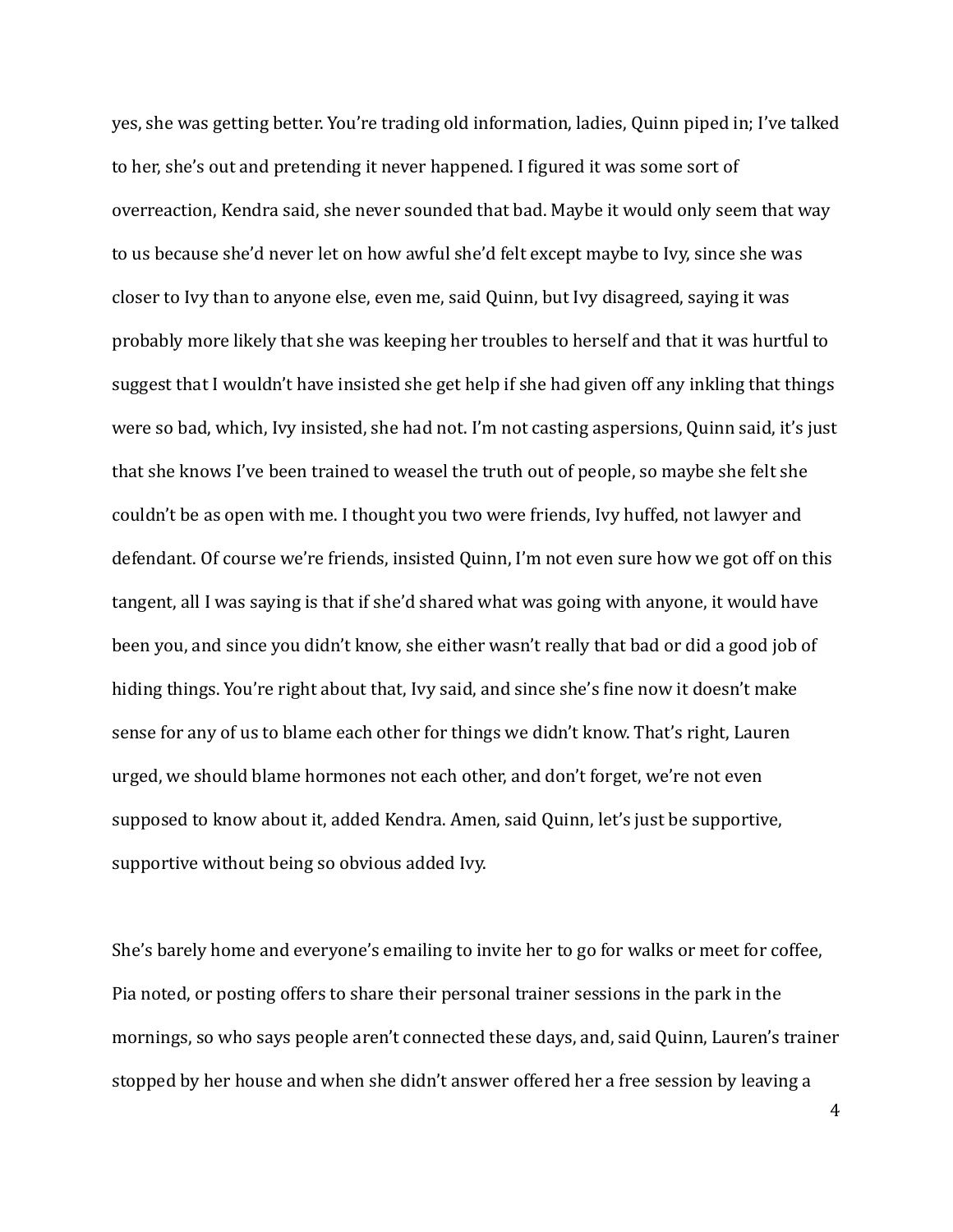yes, she was getting better. You're trading old information, ladies, Quinn piped in; I've talked to her, she's out and pretending it never happened. I figured it was some sort of overreaction, Kendra said, she never sounded that bad. Maybe it would only seem that way to us because she'd never let on how awful she'd felt except maybe to Ivy, since she was closer to Ivy than to anyone else, even me, said Quinn, but Ivy disagreed, saying it was probably more likely that she was keeping her troubles to herself and that it was hurtful to suggest that I wouldn't have insisted she get help if she had given off any inkling that things were so bad, which, Ivy insisted, she had not. I'm not casting aspersions, Quinn said, it's just that she knows I've been trained to weasel the truth out of people, so maybe she felt she couldn't be as open with me. I thought you two were friends, Ivy huffed, not lawyer and defendant. Of course we're friends, insisted Quinn, I'm not even sure how we got off on this tangent, all I was saying is that if she'd shared what was going with anyone, it would have been you, and since you didn't know, she either wasn't really that bad or did a good job of hiding things. You're right about that, Ivy said, and since she's fine now it doesn't make sense for any of us to blame each other for things we didn't know. That's right, Lauren urged, we should blame hormones not each other, and don't forget, we're not even supposed to know about it, added Kendra. Amen, said Quinn, let's just be supportive, supportive without being so obvious added Ivy.

She's barely home and everyone's emailing to invite her to go for walks or meet for coffee, Pia noted, or posting offers to share their personal trainer sessions in the park in the mornings, so who says people aren't connected these days, and, said Quinn, Lauren's trainer stopped by her house and when she didn't answer offered her a free session by leaving a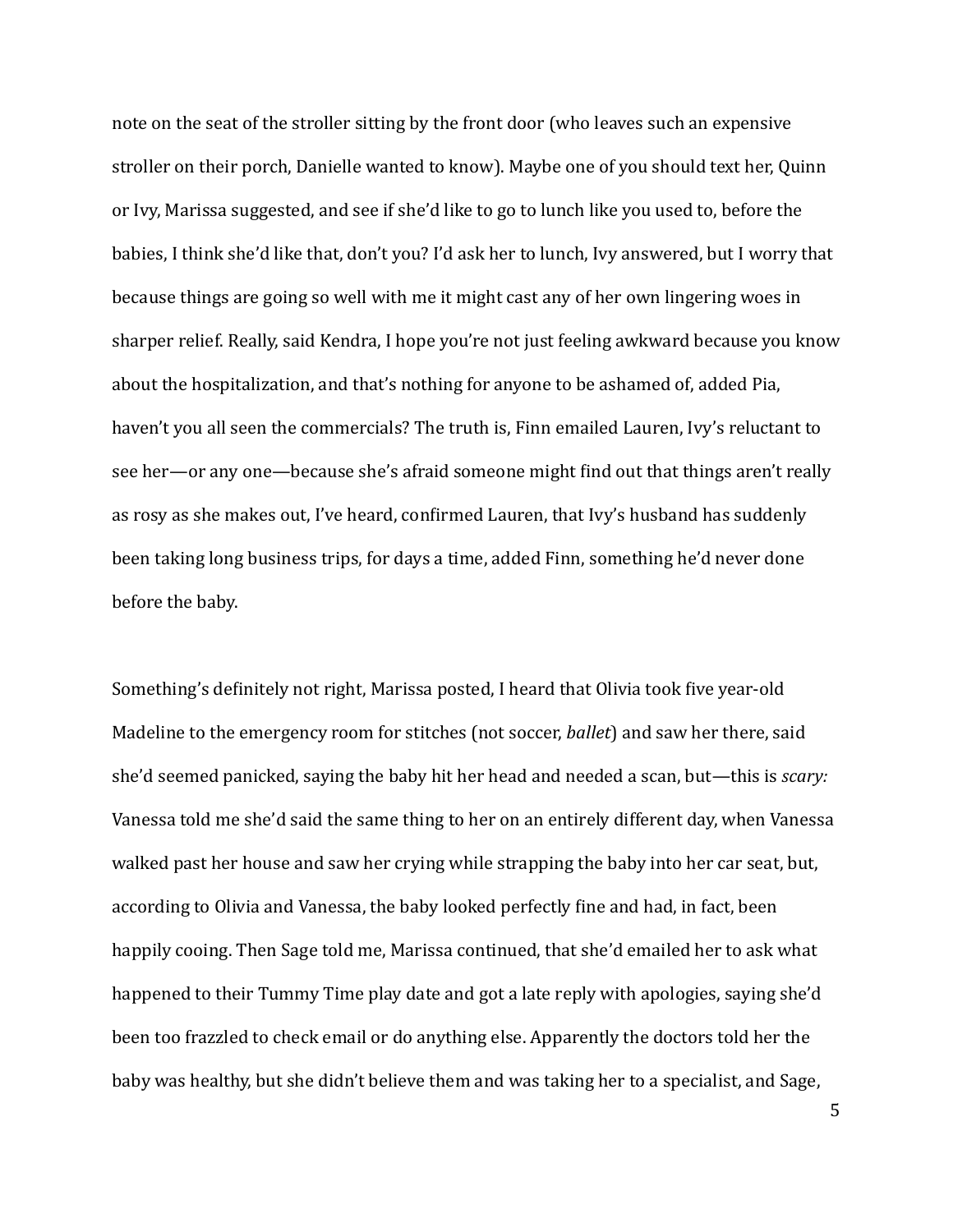note on the seat of the stroller sitting by the front door (who leaves such an expensive stroller on their porch, Danielle wanted to know). Maybe one of you should text her, Quinn or Ivy, Marissa suggested, and see if she'd like to go to lunch like you used to, before the babies, I think she'd like that, don't you? I'd ask her to lunch, Ivy answered, but I worry that because things are going so well with me it might cast any of her own lingering woes in sharper relief. Really, said Kendra, I hope you're not just feeling awkward because you know about the hospitalization, and that's nothing for anyone to be ashamed of, added Pia, haven't you all seen the commercials? The truth is, Finn emailed Lauren, Ivy's reluctant to see her—or any one—because she's afraid someone might find out that things aren't really as rosy as she makes out, I've heard, confirmed Lauren, that Ivy's husband has suddenly been taking long business trips, for days a time, added Finn, something he'd never done before the baby.

Something's definitely not right, Marissa posted, I heard that Olivia took five year-old Madeline to the emergency room for stitches (not soccer, *ballet*) and saw her there, said she'd seemed panicked, saying the baby hit her head and needed a scan, but—this is *scary:* Vanessa told me she'd said the same thing to her on an entirely different day, when Vanessa walked past her house and saw her crying while strapping the baby into her car seat, but, according to Olivia and Vanessa, the baby looked perfectly fine and had, in fact, been happily cooing. Then Sage told me, Marissa continued, that she'd emailed her to ask what happened to their Tummy Time play date and got a late reply with apologies, saying she'd been too frazzled to check email or do anything else. Apparently the doctors told her the baby was healthy, but she didn't believe them and was taking her to a specialist, and Sage,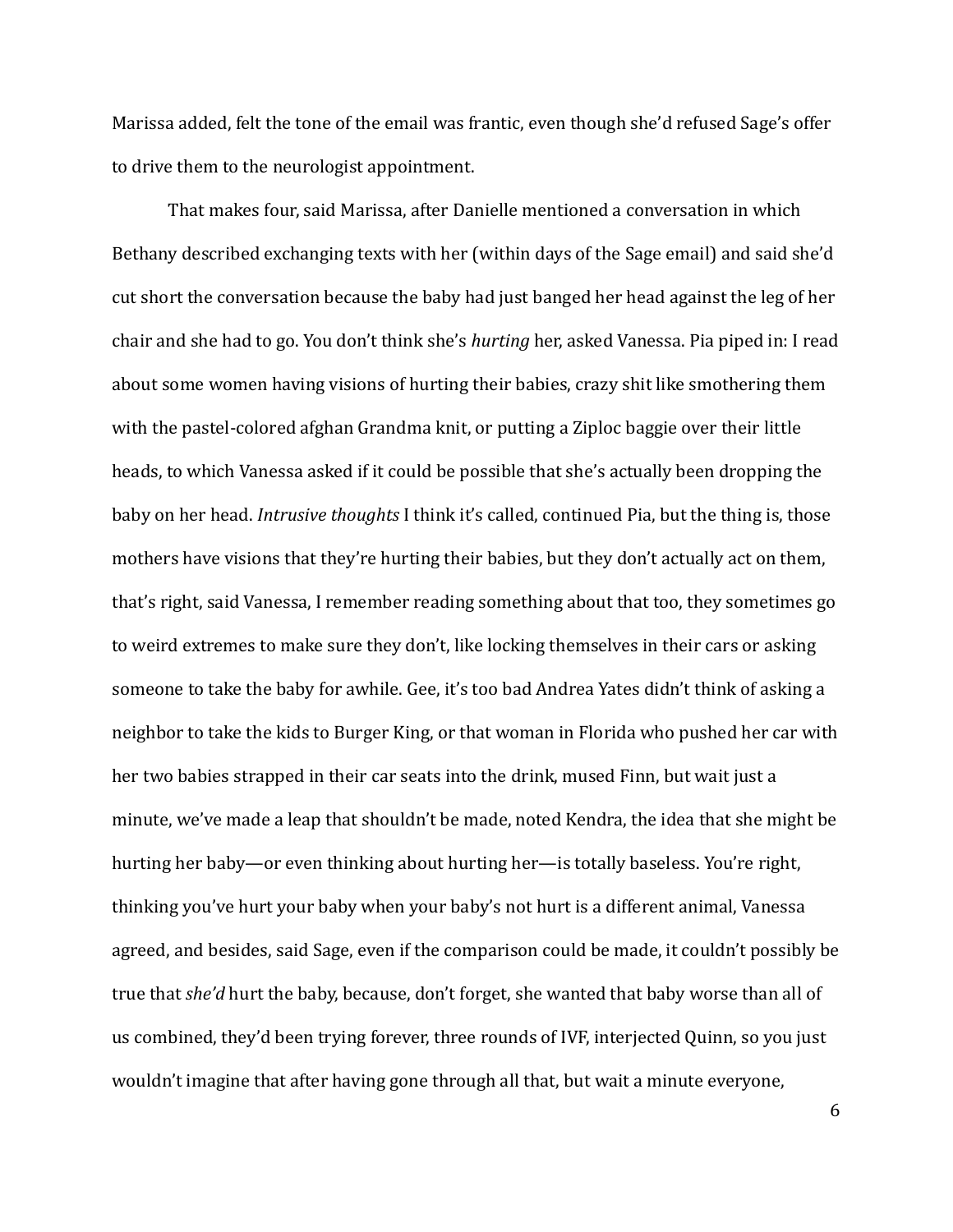Marissa added, felt the tone of the email was frantic, even though she'd refused Sage's offer to drive them to the neurologist appointment.

That makes four, said Marissa, after Danielle mentioned a conversation in which Bethany described exchanging texts with her (within days of the Sage email) and said she'd cut short the conversation because the baby had just banged her head against the leg of her chair and she had to go. You don't think she's *hurting* her, asked Vanessa. Pia piped in: I read about some women having visions of hurting their babies, crazy shit like smothering them with the pastel-colored afghan Grandma knit, or putting a Ziploc baggie over their little heads, to which Vanessa asked if it could be possible that she's actually been dropping the baby on her head. *Intrusive thoughts* I think it's called, continued Pia, but the thing is, those mothers have visions that they're hurting their babies, but they don't actually act on them, that's right, said Vanessa, I remember reading something about that too, they sometimes go to weird extremes to make sure they don't, like locking themselves in their cars or asking someone to take the baby for awhile. Gee, it's too bad Andrea Yates didn't think of asking a neighbor to take the kids to Burger King, or that woman in Florida who pushed her car with her two babies strapped in their car seats into the drink, mused Finn, but wait just a minute, we've made a leap that shouldn't be made, noted Kendra, the idea that she might be hurting her baby—or even thinking about hurting her—is totally baseless. You're right, thinking you've hurt your baby when your baby's not hurt is a different animal, Vanessa agreed, and besides, said Sage, even if the comparison could be made, it couldn't possibly be true that *she'd* hurt the baby, because, don't forget, she wanted that baby worse than all of us combined, they'd been trying forever, three rounds of IVF, interjected Quinn, so you just wouldn't imagine that after having gone through all that, but wait a minute everyone,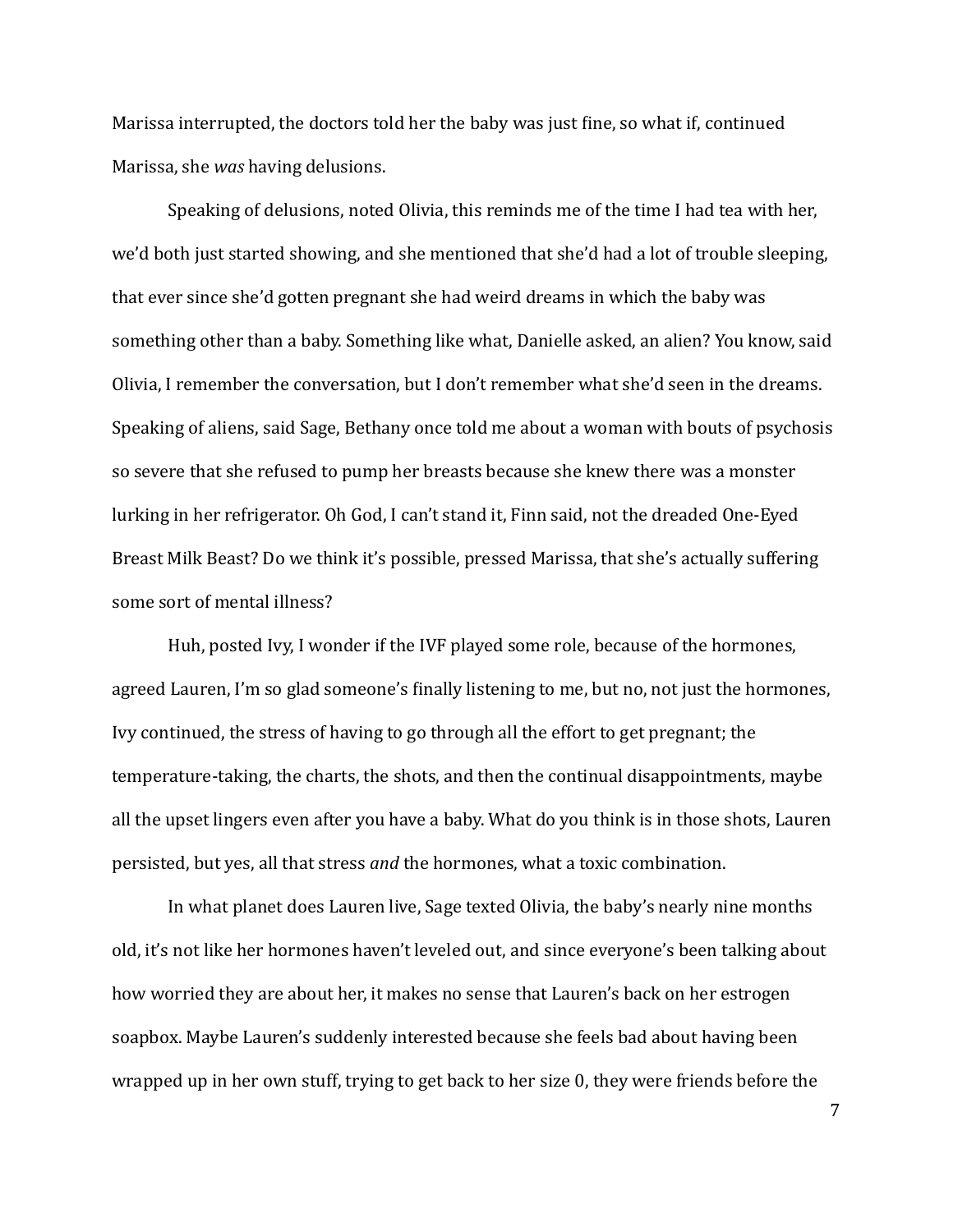Marissa interrupted, the doctors told her the baby was just fine, so what if, continued Marissa, she *was* having delusions.

Speaking of delusions, noted Olivia, this reminds me of the time I had tea with her, we'd both just started showing, and she mentioned that she'd had a lot of trouble sleeping, that ever since she'd gotten pregnant she had weird dreams in which the baby was something other than a baby. Something like what, Danielle asked, an alien? You know, said Olivia, I remember the conversation, but I don't remember what she'd seen in the dreams. Speaking of aliens, said Sage, Bethany once told me about a woman with bouts of psychosis so severe that she refused to pump her breasts because she knew there was a monster lurking in her refrigerator. Oh God, I can't stand it, Finn said, not the dreaded One-Eyed Breast Milk Beast? Do we think it's possible, pressed Marissa, that she's actually suffering some sort of mental illness?

Huh, posted Ivy, I wonder if the IVF played some role, because of the hormones, agreed Lauren, I'm so glad someone's finally listening to me, but no, not just the hormones, Ivy continued, the stress of having to go through all the effort to get pregnant; the temperature-taking, the charts, the shots, and then the continual disappointments, maybe all the upset lingers even after you have a baby. What do you think is in those shots, Lauren persisted, but yes, all that stress *and* the hormones, what a toxic combination.

In what planet does Lauren live, Sage texted Olivia, the baby's nearly nine months old, it's not like her hormones haven't leveled out, and since everyone's been talking about how worried they are about her, it makes no sense that Lauren's back on her estrogen soapbox. Maybe Lauren's suddenly interested because she feels bad about having been wrapped up in her own stuff, trying to get back to her size  $0$ , they were friends before the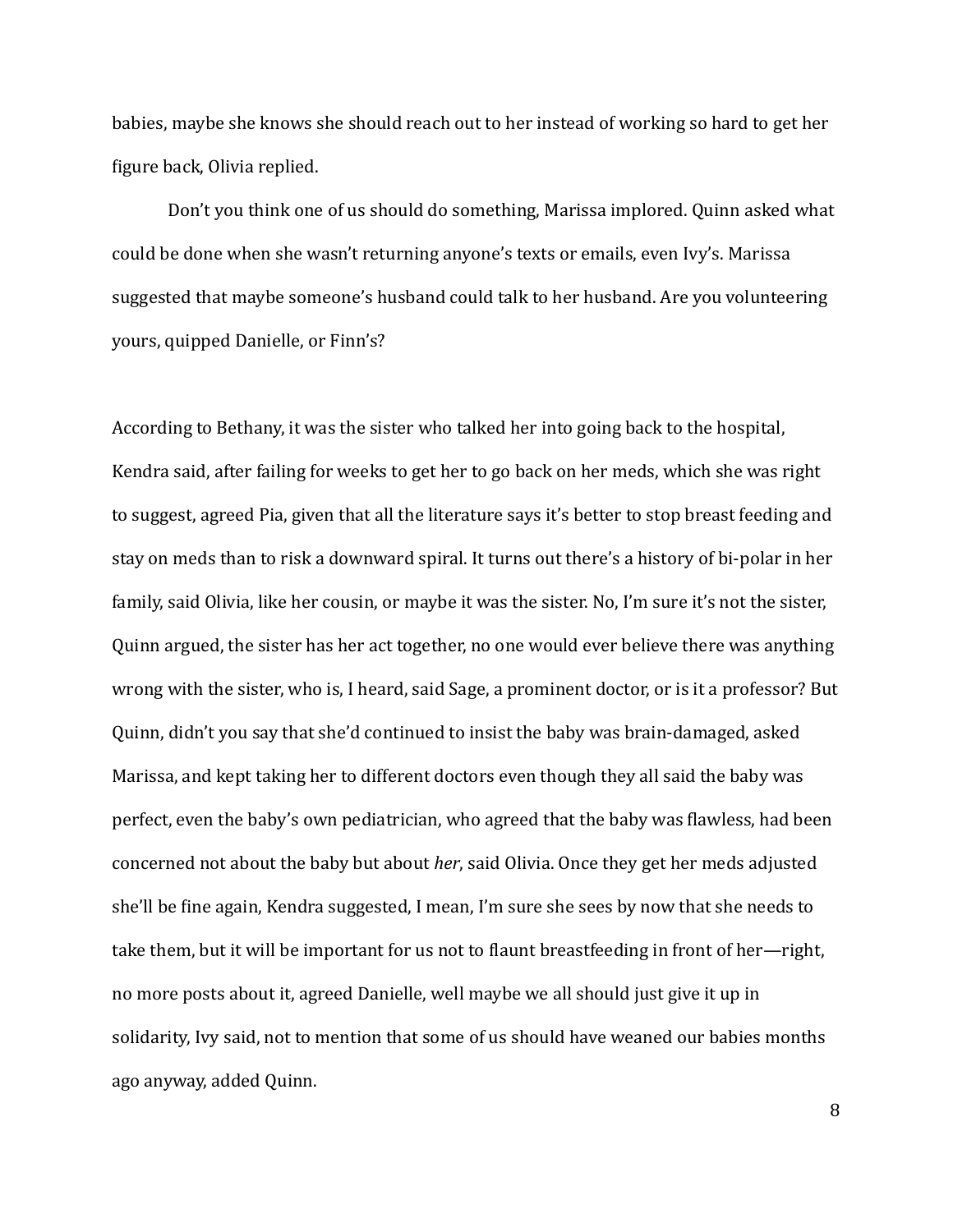babies, maybe she knows she should reach out to her instead of working so hard to get her figure back, Olivia replied.

Don't you think one of us should do something, Marissa implored. Quinn asked what could be done when she wasn't returning anyone's texts or emails, even Ivy's. Marissa suggested that maybe someone's husband could talk to her husband. Are you volunteering yours, quipped Danielle, or Finn's?

According to Bethany, it was the sister who talked her into going back to the hospital, Kendra said, after failing for weeks to get her to go back on her meds, which she was right to suggest, agreed Pia, given that all the literature says it's better to stop breast feeding and stay on meds than to risk a downward spiral. It turns out there's a history of bi-polar in her family, said Olivia, like her cousin, or maybe it was the sister. No, I'm sure it's not the sister, Quinn argued, the sister has her act together, no one would ever believe there was anything wrong with the sister, who is, I heard, said Sage, a prominent doctor, or is it a professor? But Quinn, didn't you say that she'd continued to insist the baby was brain-damaged, asked Marissa, and kept taking her to different doctors even though they all said the baby was perfect, even the baby's own pediatrician, who agreed that the baby was flawless, had been concerned not about the baby but about *her*, said Olivia. Once they get her meds adjusted she'll be fine again, Kendra suggested, I mean, I'm sure she sees by now that she needs to take them, but it will be important for us not to flaunt breastfeeding in front of her—right, no more posts about it, agreed Danielle, well maybe we all should just give it up in solidarity, Ivy said, not to mention that some of us should have weaned our babies months ago anyway, added Quinn.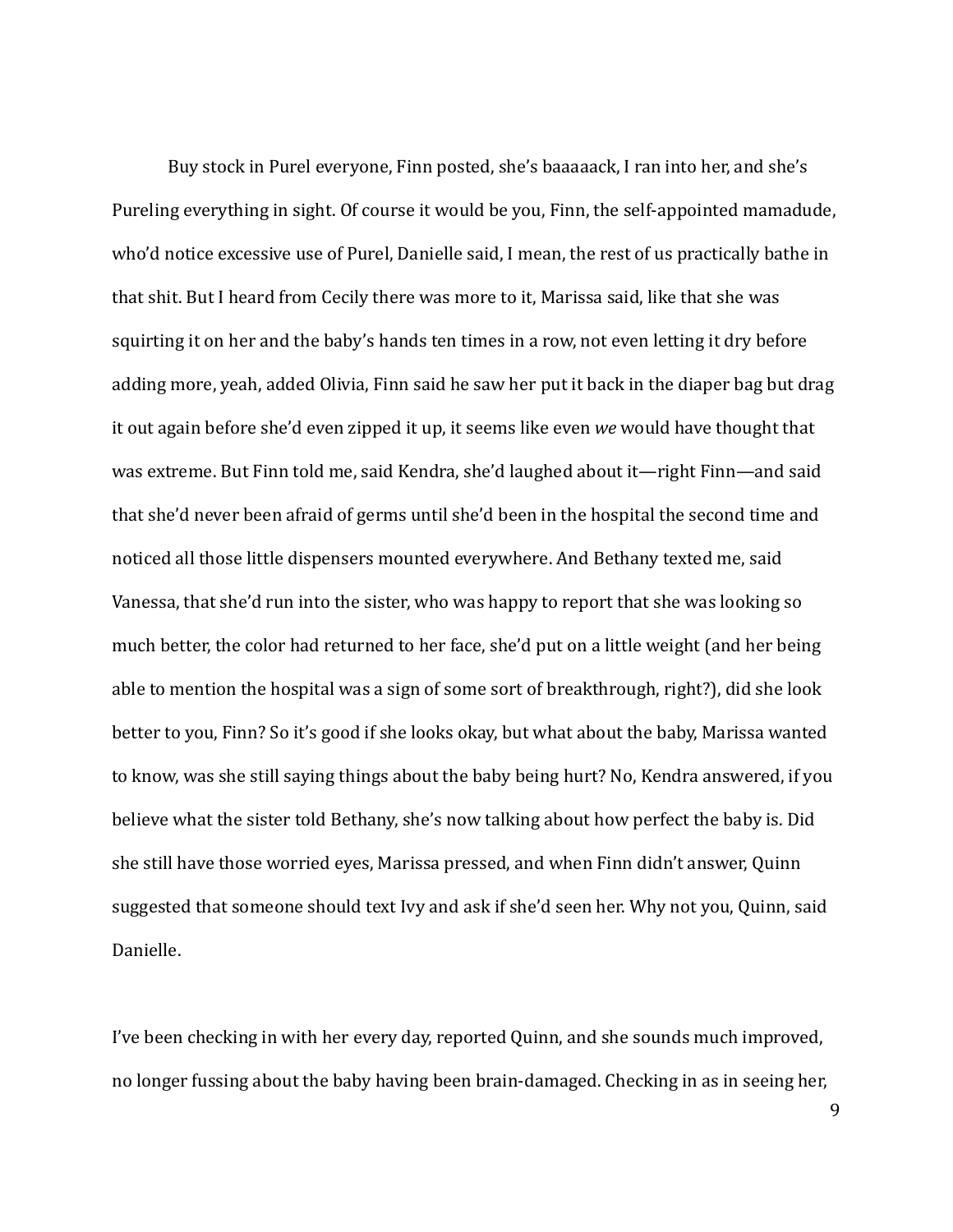Buy stock in Purel everyone, Finn posted, she's baaaaack, I ran into her, and she's Pureling everything in sight. Of course it would be you, Finn, the self-appointed mamadude, who'd notice excessive use of Purel, Danielle said, I mean, the rest of us practically bathe in that shit. But I heard from Cecily there was more to it, Marissa said, like that she was squirting it on her and the baby's hands ten times in a row, not even letting it dry before adding more, yeah, added Olivia, Finn said he saw her put it back in the diaper bag but drag it out again before she'd even zipped it up, it seems like even we would have thought that was extreme. But Finn told me, said Kendra, she'd laughed about it—right Finn—and said that she'd never been afraid of germs until she'd been in the hospital the second time and noticed all those little dispensers mounted everywhere. And Bethany texted me, said Vanessa, that she'd run into the sister, who was happy to report that she was looking so much better, the color had returned to her face, she'd put on a little weight (and her being able to mention the hospital was a sign of some sort of breakthrough, right?), did she look better to you, Finn? So it's good if she looks okay, but what about the baby, Marissa wanted to know, was she still saying things about the baby being hurt? No, Kendra answered, if you believe what the sister told Bethany, she's now talking about how perfect the baby is. Did she still have those worried eyes, Marissa pressed, and when Finn didn't answer, Quinn suggested that someone should text Ivy and ask if she'd seen her. Why not you, Quinn, said Danielle. 

I've been checking in with her every day, reported Quinn, and she sounds much improved, no longer fussing about the baby having been brain-damaged. Checking in as in seeing her,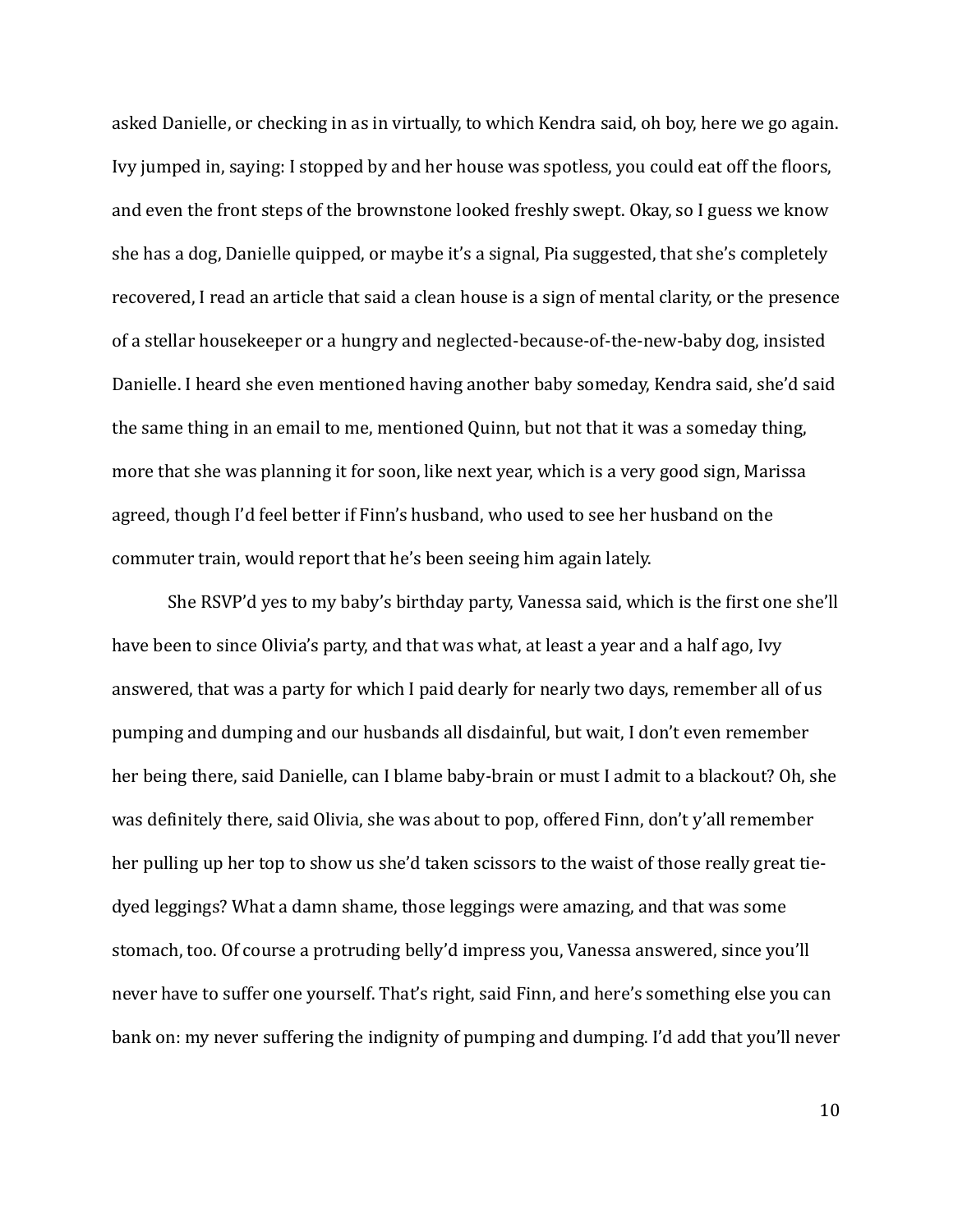asked Danielle, or checking in as in virtually, to which Kendra said, oh boy, here we go again. Ivy jumped in, saying: I stopped by and her house was spotless, you could eat off the floors, and even the front steps of the brownstone looked freshly swept. Okay, so I guess we know she has a dog, Danielle quipped, or maybe it's a signal, Pia suggested, that she's completely recovered, I read an article that said a clean house is a sign of mental clarity, or the presence of a stellar housekeeper or a hungry and neglected-because-of-the-new-baby dog, insisted Danielle. I heard she even mentioned having another baby someday, Kendra said, she'd said the same thing in an email to me, mentioned Quinn, but not that it was a someday thing, more that she was planning it for soon, like next year, which is a very good sign, Marissa agreed, though I'd feel better if Finn's husband, who used to see her husband on the commuter train, would report that he's been seeing him again lately.

She RSVP'd yes to my baby's birthday party, Vanessa said, which is the first one she'll have been to since Olivia's party, and that was what, at least a year and a half ago, Ivy answered, that was a party for which I paid dearly for nearly two days, remember all of us pumping and dumping and our husbands all disdainful, but wait, I don't even remember her being there, said Danielle, can I blame baby-brain or must I admit to a blackout? Oh, she was definitely there, said Olivia, she was about to pop, offered Finn, don't y'all remember her pulling up her top to show us she'd taken scissors to the waist of those really great tiedyed leggings? What a damn shame, those leggings were amazing, and that was some stomach, too. Of course a protruding belly'd impress you, Vanessa answered, since you'll never have to suffer one yourself. That's right, said Finn, and here's something else you can bank on: my never suffering the indignity of pumping and dumping. I'd add that you'll never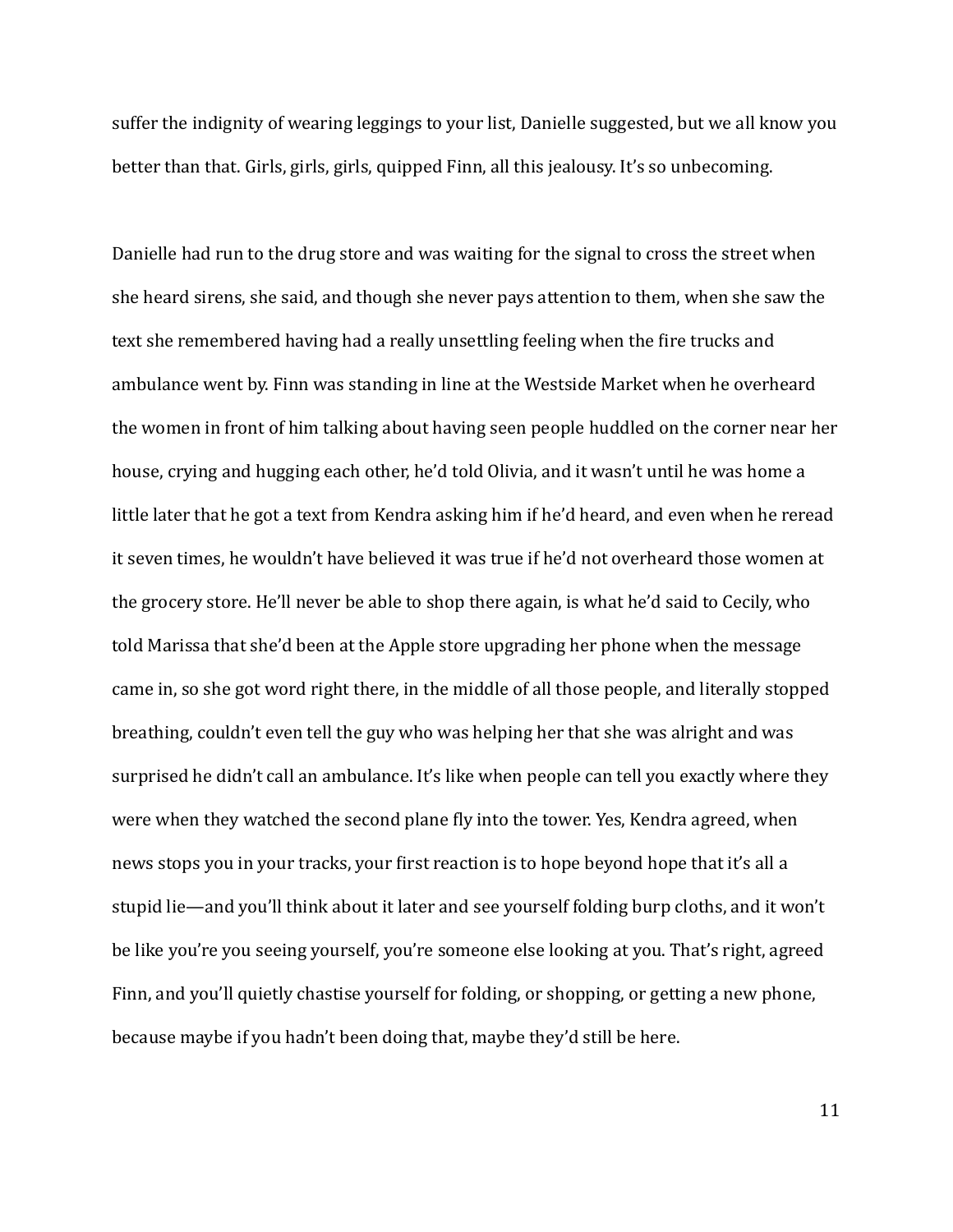suffer the indignity of wearing leggings to your list, Danielle suggested, but we all know you better than that. Girls, girls, girls, quipped Finn, all this jealousy. It's so unbecoming.

Danielle had run to the drug store and was waiting for the signal to cross the street when she heard sirens, she said, and though she never pays attention to them, when she saw the text she remembered having had a really unsettling feeling when the fire trucks and ambulance went by. Finn was standing in line at the Westside Market when he overheard the women in front of him talking about having seen people huddled on the corner near her house, crying and hugging each other, he'd told Olivia, and it wasn't until he was home a little later that he got a text from Kendra asking him if he'd heard, and even when he reread it seven times, he wouldn't have believed it was true if he'd not overheard those women at the grocery store. He'll never be able to shop there again, is what he'd said to Cecily, who told Marissa that she'd been at the Apple store upgrading her phone when the message came in, so she got word right there, in the middle of all those people, and literally stopped breathing, couldn't even tell the guy who was helping her that she was alright and was surprised he didn't call an ambulance. It's like when people can tell you exactly where they were when they watched the second plane fly into the tower. Yes, Kendra agreed, when news stops you in your tracks, your first reaction is to hope beyond hope that it's all a stupid lie—and you'll think about it later and see yourself folding burp cloths, and it won't be like you're you seeing yourself, you're someone else looking at you. That's right, agreed Finn, and you'll quietly chastise yourself for folding, or shopping, or getting a new phone, because maybe if you hadn't been doing that, maybe they'd still be here.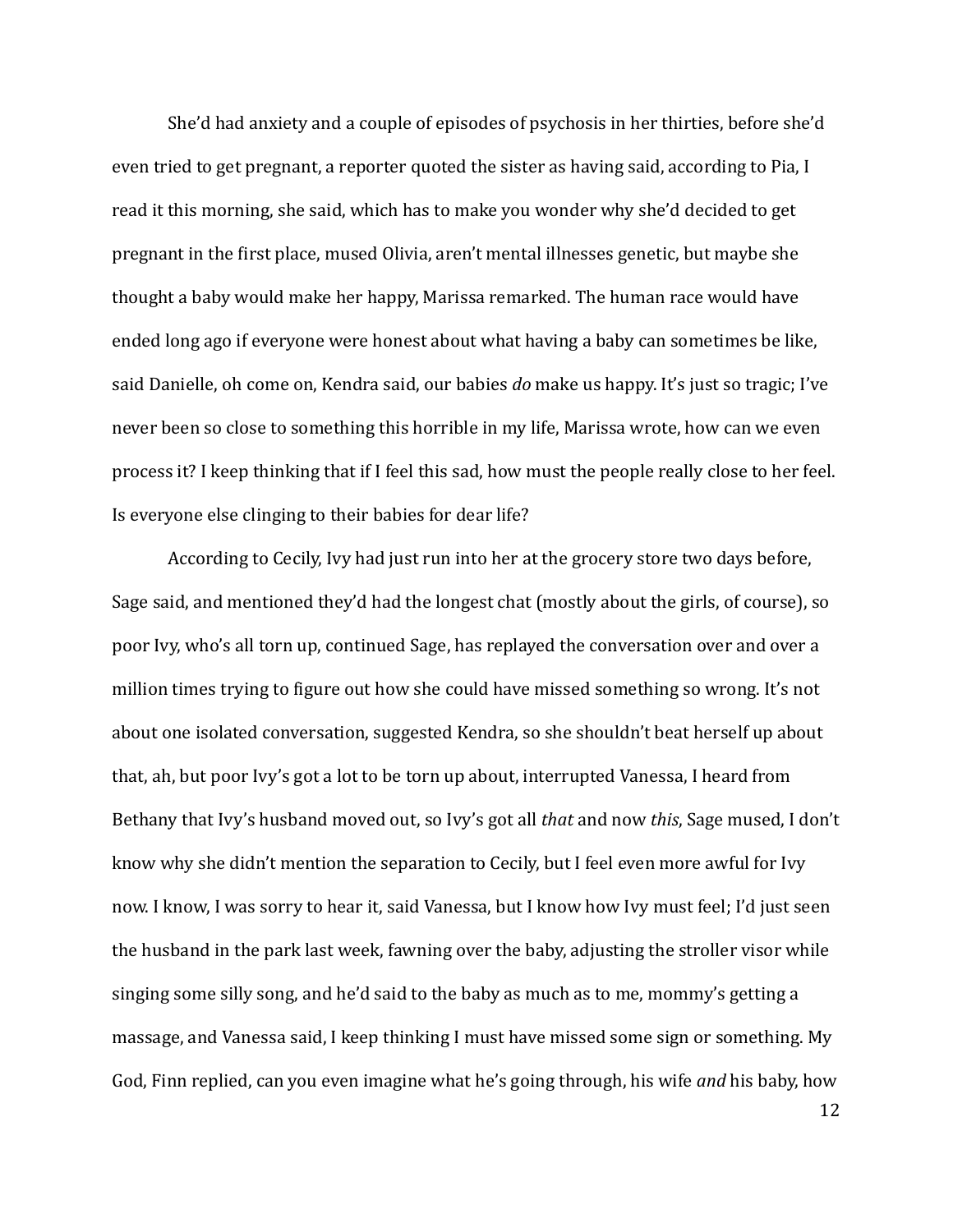She'd had anxiety and a couple of episodes of psychosis in her thirties, before she'd even tried to get pregnant, a reporter quoted the sister as having said, according to Pia, I read it this morning, she said, which has to make you wonder why she'd decided to get pregnant in the first place, mused Olivia, aren't mental illnesses genetic, but maybe she thought a baby would make her happy, Marissa remarked. The human race would have ended long ago if everyone were honest about what having a baby can sometimes be like, said Danielle, oh come on, Kendra said, our babies *do* make us happy. It's just so tragic; I've never been so close to something this horrible in my life, Marissa wrote, how can we even process it? I keep thinking that if I feel this sad, how must the people really close to her feel. Is everyone else clinging to their babies for dear life?

According to Cecily, Ivy had just run into her at the grocery store two days before, Sage said, and mentioned they'd had the longest chat (mostly about the girls, of course), so poor Ivy, who's all torn up, continued Sage, has replayed the conversation over and over a million times trying to figure out how she could have missed something so wrong. It's not about one isolated conversation, suggested Kendra, so she shouldn't beat herself up about that, ah, but poor Ivy's got a lot to be torn up about, interrupted Vanessa, I heard from Bethany that Ivy's husband moved out, so Ivy's got all *that* and now *this*, Sage mused, I don't know why she didn't mention the separation to Cecily, but I feel even more awful for Ivy now. I know, I was sorry to hear it, said Vanessa, but I know how Ivy must feel; I'd just seen the husband in the park last week, fawning over the baby, adjusting the stroller visor while singing some silly song, and he'd said to the baby as much as to me, mommy's getting a massage, and Vanessa said, I keep thinking I must have missed some sign or something. My God, Finn replied, can you even imagine what he's going through, his wife *and* his baby, how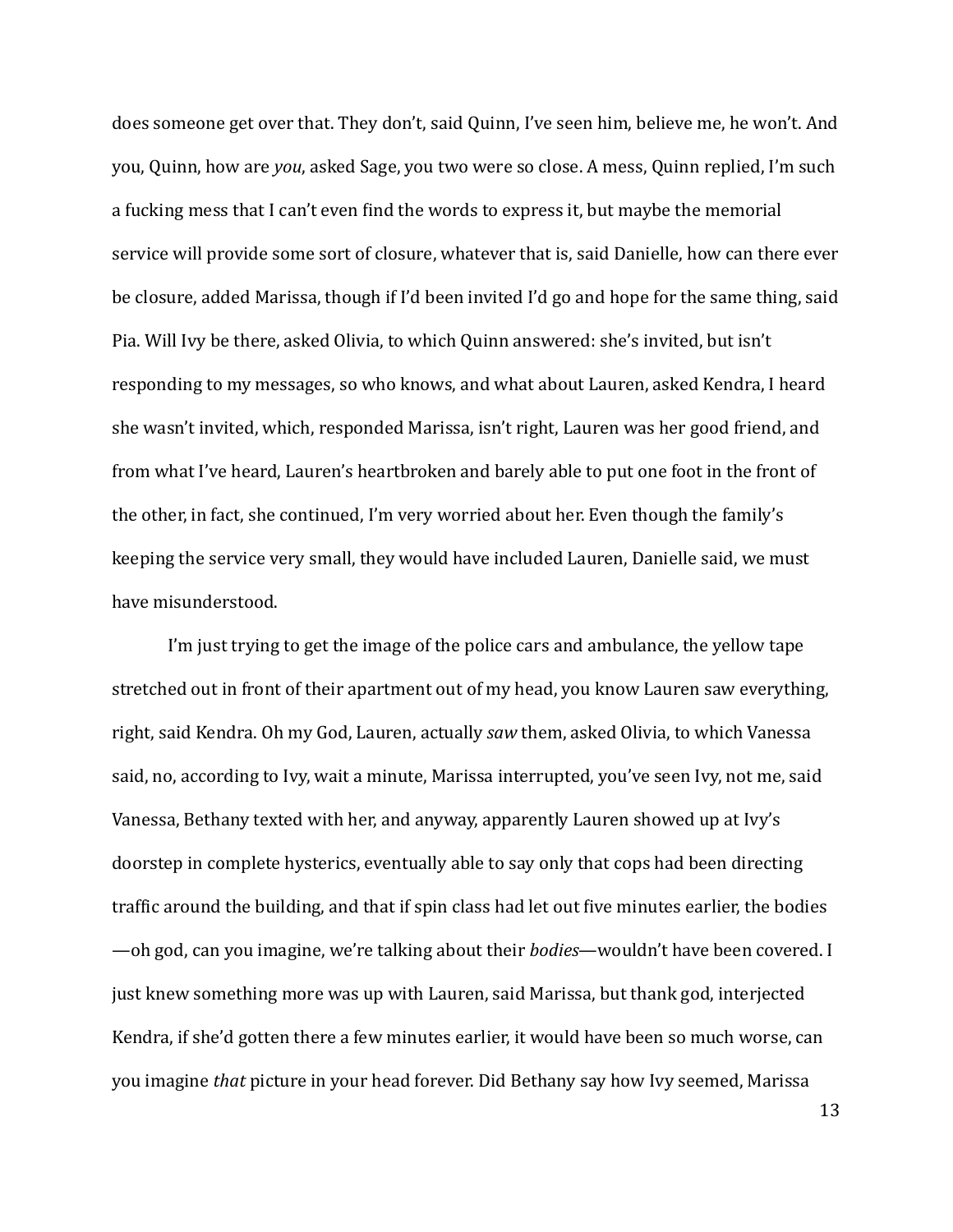does someone get over that. They don't, said Quinn, I've seen him, believe me, he won't. And you, Quinn, how are *you*, asked Sage, you two were so close. A mess, Quinn replied, I'm such a fucking mess that I can't even find the words to express it, but maybe the memorial service will provide some sort of closure, whatever that is, said Danielle, how can there ever be closure, added Marissa, though if I'd been invited I'd go and hope for the same thing, said Pia. Will Ivy be there, asked Olivia, to which Quinn answered: she's invited, but isn't responding to my messages, so who knows, and what about Lauren, asked Kendra, I heard she wasn't invited, which, responded Marissa, isn't right, Lauren was her good friend, and from what I've heard, Lauren's heartbroken and barely able to put one foot in the front of the other, in fact, she continued, I'm very worried about her. Even though the family's keeping the service very small, they would have included Lauren, Danielle said, we must have misunderstood.

I'm just trying to get the image of the police cars and ambulance, the yellow tape stretched out in front of their apartment out of my head, you know Lauren saw everything, right, said Kendra. Oh my God, Lauren, actually saw them, asked Olivia, to which Vanessa said, no, according to Ivy, wait a minute, Marissa interrupted, you've seen Ivy, not me, said Vanessa, Bethany texted with her, and anyway, apparently Lauren showed up at Ivy's doorstep in complete hysterics, eventually able to say only that cops had been directing traffic around the building, and that if spin class had let out five minutes earlier, the bodies —oh god, can you imagine, we're talking about their *bodies*—wouldn't have been covered. I just knew something more was up with Lauren, said Marissa, but thank god, interjected Kendra, if she'd gotten there a few minutes earlier, it would have been so much worse, can you imagine *that* picture in your head forever. Did Bethany say how Ivy seemed, Marissa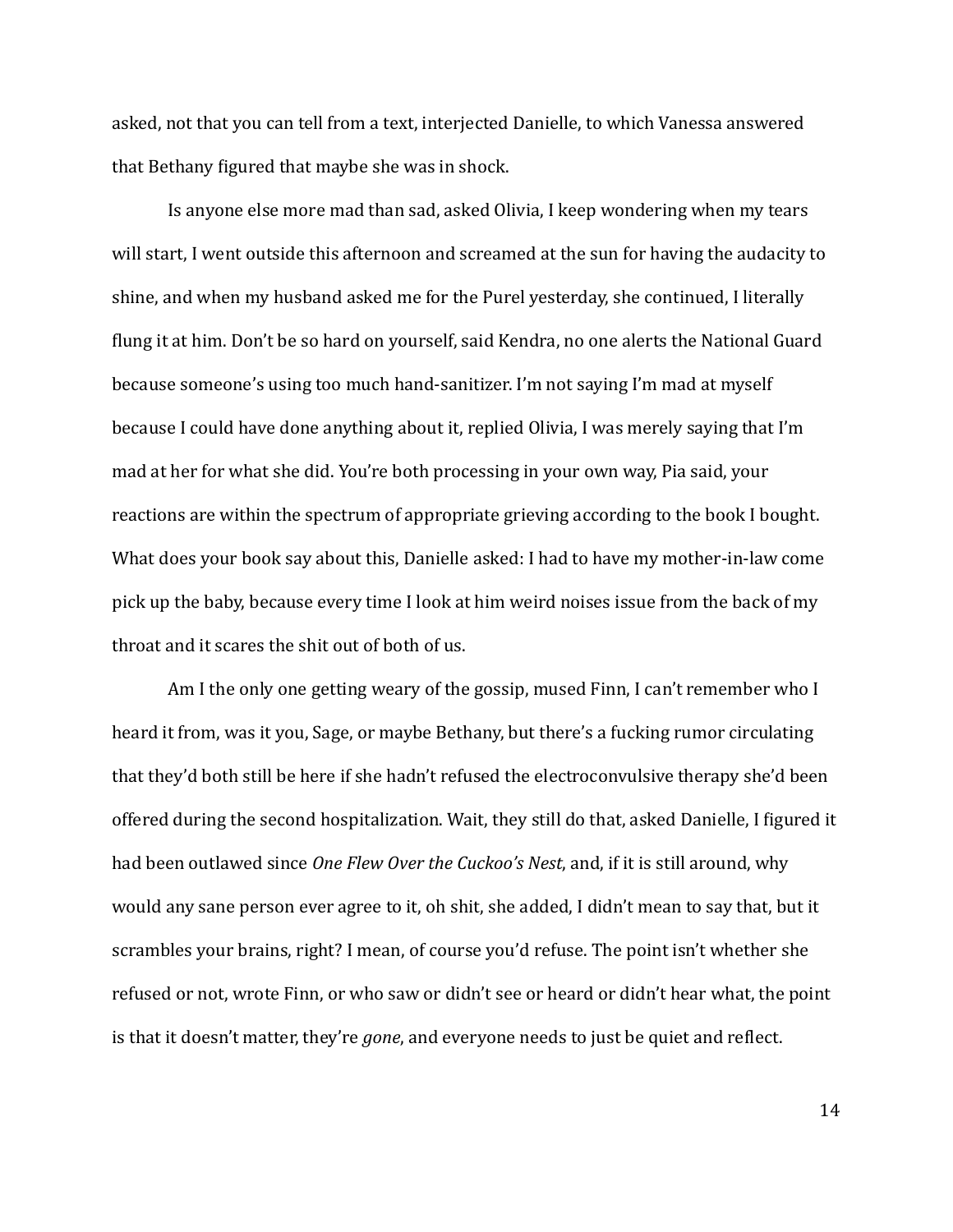asked, not that you can tell from a text, interjected Danielle, to which Vanessa answered that Bethany figured that maybe she was in shock.

Is anyone else more mad than sad, asked Olivia, I keep wondering when my tears will start, I went outside this afternoon and screamed at the sun for having the audacity to shine, and when my husband asked me for the Purel yesterday, she continued, I literally flung it at him. Don't be so hard on yourself, said Kendra, no one alerts the National Guard because someone's using too much hand-sanitizer. I'm not saying I'm mad at myself because I could have done anything about it, replied Olivia, I was merely saying that I'm mad at her for what she did. You're both processing in your own way, Pia said, your reactions are within the spectrum of appropriate grieving according to the book I bought. What does your book say about this, Danielle asked: I had to have my mother-in-law come pick up the baby, because every time I look at him weird noises issue from the back of my throat and it scares the shit out of both of us.

Am I the only one getting weary of the gossip, mused Finn, I can't remember who I heard it from, was it you, Sage, or maybe Bethany, but there's a fucking rumor circulating that they'd both still be here if she hadn't refused the electroconvulsive therapy she'd been offered during the second hospitalization. Wait, they still do that, asked Danielle, I figured it had been outlawed since *One Flew Over the Cuckoo's Nest*, and, if it is still around, why would any sane person ever agree to it, oh shit, she added, I didn't mean to say that, but it scrambles your brains, right? I mean, of course you'd refuse. The point isn't whether she refused or not, wrote Finn, or who saw or didn't see or heard or didn't hear what, the point is that it doesn't matter, they're *gone*, and everyone needs to just be quiet and reflect.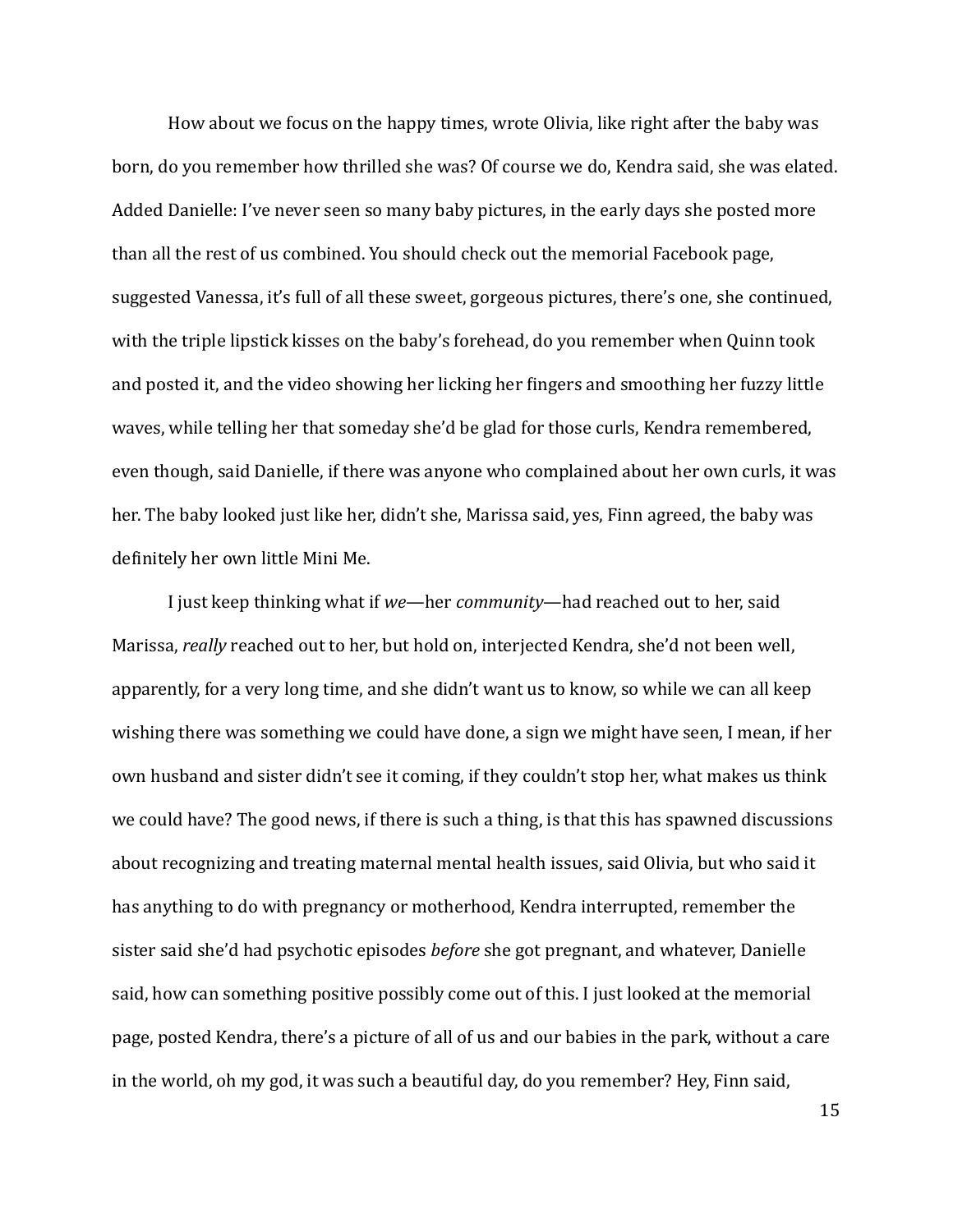How about we focus on the happy times, wrote Olivia, like right after the baby was born, do you remember how thrilled she was? Of course we do, Kendra said, she was elated. Added Danielle: I've never seen so many baby pictures, in the early days she posted more than all the rest of us combined. You should check out the memorial Facebook page, suggested Vanessa, it's full of all these sweet, gorgeous pictures, there's one, she continued, with the triple lipstick kisses on the baby's forehead, do you remember when Quinn took and posted it, and the video showing her licking her fingers and smoothing her fuzzy little waves, while telling her that someday she'd be glad for those curls, Kendra remembered, even though, said Danielle, if there was anyone who complained about her own curls, it was her. The baby looked just like her, didn't she, Marissa said, yes, Finn agreed, the baby was definitely her own little Mini Me.

I just keep thinking what if *we*—her *community*—had reached out to her, said Marissa, *really* reached out to her, but hold on, interjected Kendra, she'd not been well, apparently, for a very long time, and she didn't want us to know, so while we can all keep wishing there was something we could have done, a sign we might have seen, I mean, if her own husband and sister didn't see it coming, if they couldn't stop her, what makes us think we could have? The good news, if there is such a thing, is that this has spawned discussions about recognizing and treating maternal mental health issues, said Olivia, but who said it has anything to do with pregnancy or motherhood, Kendra interrupted, remember the sister said she'd had psychotic episodes *before* she got pregnant, and whatever, Danielle said, how can something positive possibly come out of this. I just looked at the memorial page, posted Kendra, there's a picture of all of us and our babies in the park, without a care in the world, oh my god, it was such a beautiful day, do you remember? Hey, Finn said,